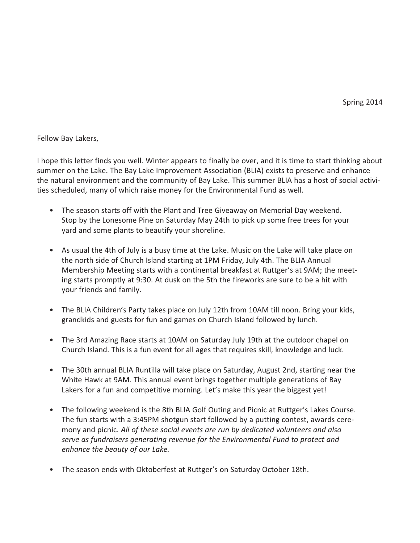Fellow Bay Lakers,

I hope this letter finds you well. Winter appears to finally be over, and it is time to start thinking about summer on the Lake. The Bay Lake Improvement Association (BLIA) exists to preserve and enhance the natural environment and the community of Bay Lake. This summer BLIA has a host of social activities scheduled, many of which raise money for the Environmental Fund as well.

- The season starts off with the Plant and Tree Giveaway on Memorial Day weekend. Stop by the Lonesome Pine on Saturday May 24th to pick up some free trees for your yard and some plants to beautify your shoreline.
- As usual the 4th of July is a busy time at the Lake. Music on the Lake will take place on the north side of Church Island starting at 1PM Friday, July 4th. The BLIA Annual Membership Meeting starts with a continental breakfast at Ruttger's at 9AM; the meeting starts promptly at 9:30. At dusk on the 5th the fireworks are sure to be a hit with your friends and family.
- The BLIA Children's Party takes place on July 12th from 10AM till noon. Bring your kids, grandkids and guests for fun and games on Church Island followed by lunch.
- The 3rd Amazing Race starts at 10AM on Saturday July 19th at the outdoor chapel on Church Island. This is a fun event for all ages that requires skill, knowledge and luck.
- The 30th annual BLIA Runtilla will take place on Saturday, August 2nd, starting near the White Hawk at 9AM. This annual event brings together multiple generations of Bay Lakers for a fun and competitive morning. Let's make this year the biggest yet!
- The following weekend is the 8th BLIA Golf Outing and Picnic at Ruttger's Lakes Course. The fun starts with a 3:45PM shotgun start followed by a putting contest, awards ceremony and picnic. *All of these social events are run by dedicated volunteers and also serve as fundraisers generating revenue for the Environmental Fund to protect and enhance the beauty of our Lake.*
- The season ends with Oktoberfest at Ruttger's on Saturday October 18th.